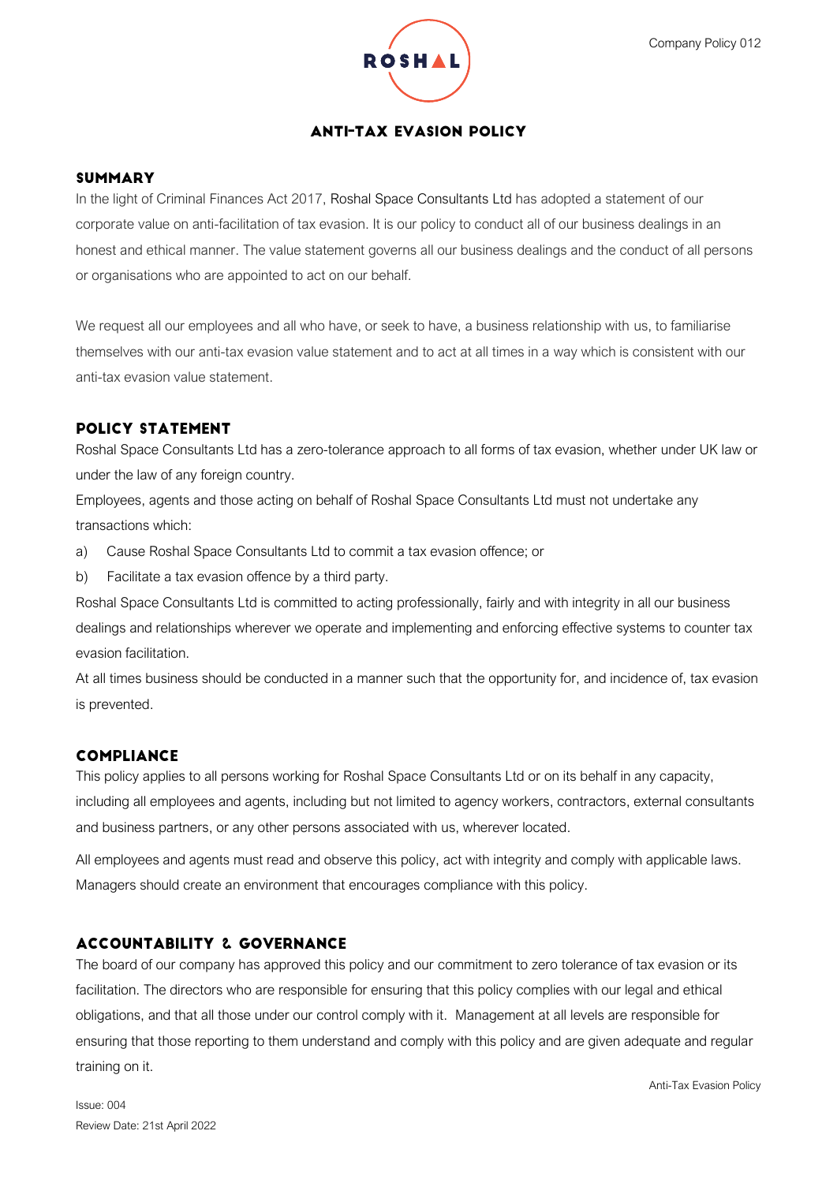

## **ANTI-TAX EVASION POLICY**

### **SUMMARY**

In the light of Criminal Finances Act 2017, Roshal Space Consultants Ltd has adopted a statement of our corporate value on anti-facilitation of tax evasion. It is our policy to conduct all of our business dealings in an honest and ethical manner. The value statement governs all our business dealings and the conduct of all persons or organisations who are appointed to act on our behalf.

We request all our employees and all who have, or seek to have, a business relationship with us, to familiarise themselves with our anti-tax evasion value statement and to act at all times in a way which is consistent with our anti-tax evasion value statement.

## **POLICY STATEMENT**

Roshal Space Consultants Ltd has a zero-tolerance approach to all forms of tax evasion, whether under UK law or under the law of any foreign country.

Employees, agents and those acting on behalf of Roshal Space Consultants Ltd must not undertake any transactions which:

- a) Cause Roshal Space Consultants Ltd to commit a tax evasion offence; or
- b) Facilitate a tax evasion offence by a third party.

Roshal Space Consultants Ltd is committed to acting professionally, fairly and with integrity in all our business dealings and relationships wherever we operate and implementing and enforcing effective systems to counter tax evasion facilitation.

At all times business should be conducted in a manner such that the opportunity for, and incidence of, tax evasion is prevented.

## **COMPLIANCE**

This policy applies to all persons working for Roshal Space Consultants Ltd or on its behalf in any capacity, including all employees and agents, including but not limited to agency workers, contractors, external consultants and business partners, or any other persons associated with us, wherever located.

All employees and agents must read and observe this policy, act with integrity and comply with applicable laws. Managers should create an environment that encourages compliance with this policy.

## **ACCOUNTABILITY & GOVERNANCE**

The board of our company has approved this policy and our commitment to zero tolerance of tax evasion or its facilitation. The directors who are responsible for ensuring that this policy complies with our legal and ethical obligations, and that all those under our control comply with it. Management at all levels are responsible for ensuring that those reporting to them understand and comply with this policy and are given adequate and regular training on it.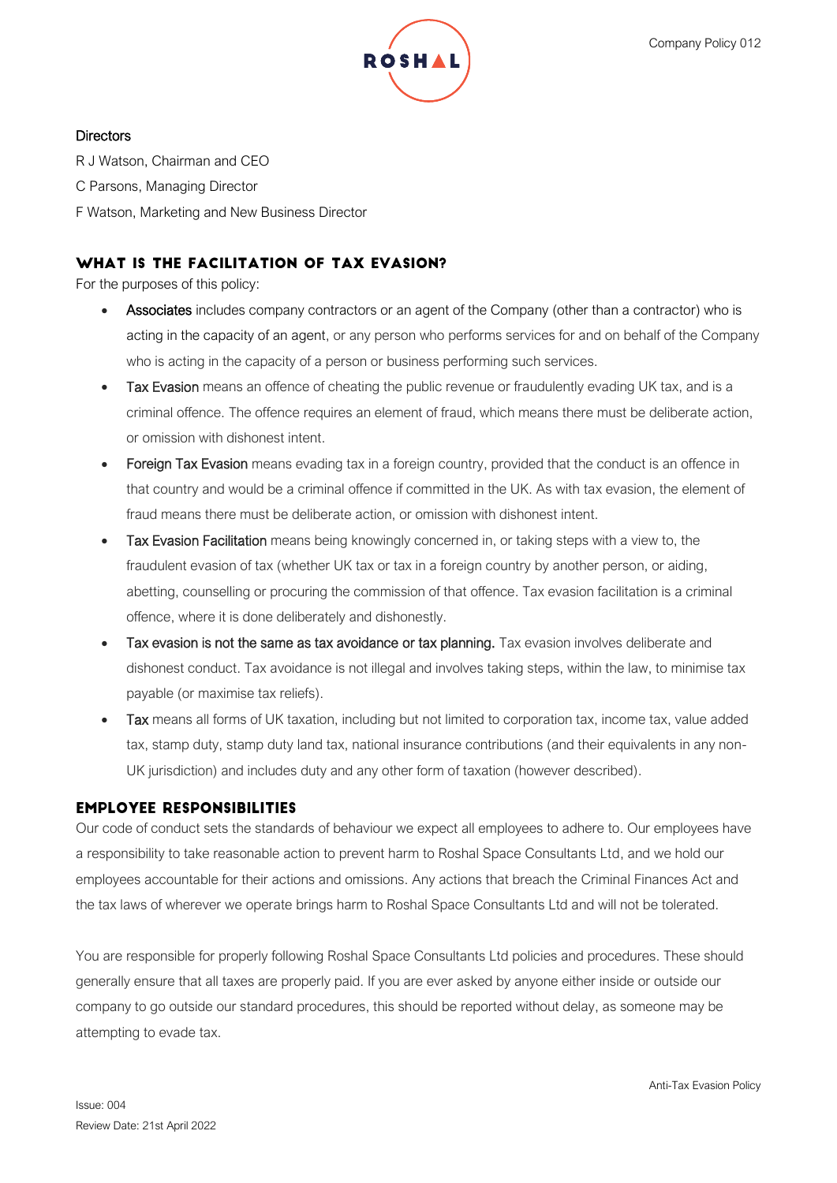

### **Directors**

R J Watson, Chairman and CEO C Parsons, Managing Director F Watson, Marketing and New Business Director

# WHAT IS THE FACILITATION OF TAX EVASION?

For the purposes of this policy:

- Associates includes company contractors or an agent of the Company (other than a contractor) who is acting in the capacity of an agent, or any person who performs services for and on behalf of the Company who is acting in the capacity of a person or business performing such services.
- Tax Evasion means an offence of cheating the public revenue or fraudulently evading UK tax, and is a criminal offence. The offence requires an element of fraud, which means there must be deliberate action, or omission with dishonest intent.
- Foreign Tax Evasion means evading tax in a foreign country, provided that the conduct is an offence in that country and would be a criminal offence if committed in the UK. As with tax evasion, the element of fraud means there must be deliberate action, or omission with dishonest intent.
- Tax Evasion Facilitation means being knowingly concerned in, or taking steps with a view to, the fraudulent evasion of tax (whether UK tax or tax in a foreign country by another person, or aiding, abetting, counselling or procuring the commission of that offence. Tax evasion facilitation is a criminal offence, where it is done deliberately and dishonestly.
- Tax evasion is not the same as tax avoidance or tax planning. Tax evasion involves deliberate and dishonest conduct. Tax avoidance is not illegal and involves taking steps, within the law, to minimise tax payable (or maximise tax reliefs).
- Tax means all forms of UK taxation, including but not limited to corporation tax, income tax, value added tax, stamp duty, stamp duty land tax, national insurance contributions (and their equivalents in any non-UK jurisdiction) and includes duty and any other form of taxation (however described).

## **EMPLOYEE RESPONSIBILITIES**

Our code of conduct sets the standards of behaviour we expect all employees to adhere to. Our employees have a responsibility to take reasonable action to prevent harm to Roshal Space Consultants Ltd, and we hold our employees accountable for their actions and omissions. Any actions that breach the Criminal Finances Act and the tax laws of wherever we operate brings harm to Roshal Space Consultants Ltd and will not be tolerated.

You are responsible for properly following Roshal Space Consultants Ltd policies and procedures. These should generally ensure that all taxes are properly paid. If you are ever asked by anyone either inside or outside our company to go outside our standard procedures, this should be reported without delay, as someone may be attempting to evade tax.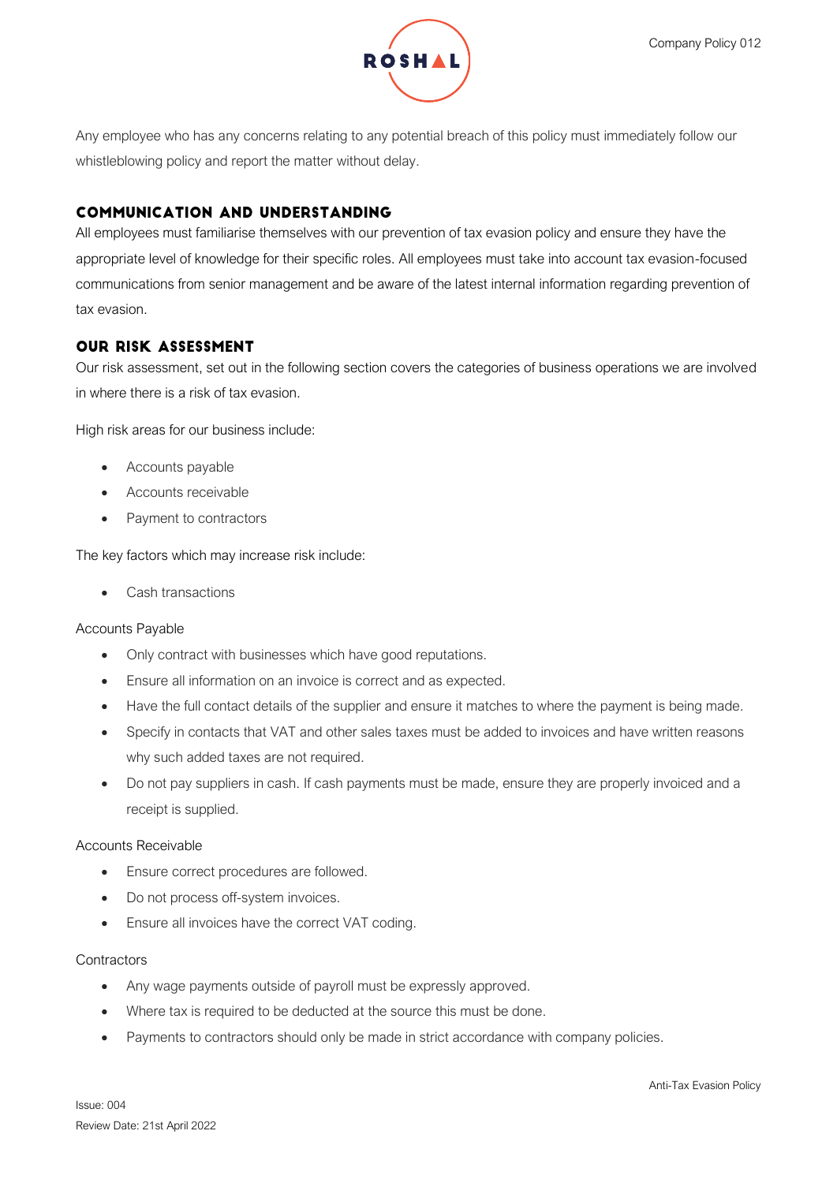

Any employee who has any concerns relating to any potential breach of this policy must immediately follow our whistleblowing policy and report the matter without delay.

# **COMMUNICATION AND UNDERSTANDING**

All employees must familiarise themselves with our prevention of tax evasion policy and ensure they have the appropriate level of knowledge for their specific roles. All employees must take into account tax evasion-focused communications from senior management and be aware of the latest internal information regarding prevention of tax evasion.

## **OUR RISK ASSESSMENT**

Our risk assessment, set out in the following section covers the categories of business operations we are involved in where there is a risk of tax evasion.

High risk areas for our business include:

- Accounts payable
- Accounts receivable
- Payment to contractors

The key factors which may increase risk include:

• Cash transactions

#### Accounts Payable

- Only contract with businesses which have good reputations.
- Ensure all information on an invoice is correct and as expected.
- Have the full contact details of the supplier and ensure it matches to where the payment is being made.
- Specify in contacts that VAT and other sales taxes must be added to invoices and have written reasons why such added taxes are not required.
- Do not pay suppliers in cash. If cash payments must be made, ensure they are properly invoiced and a receipt is supplied.

#### Accounts Receivable

- Ensure correct procedures are followed.
- Do not process off-system invoices.
- Ensure all invoices have the correct VAT coding.

#### **Contractors**

- Any wage payments outside of payroll must be expressly approved.
- Where tax is required to be deducted at the source this must be done.
- Payments to contractors should only be made in strict accordance with company policies.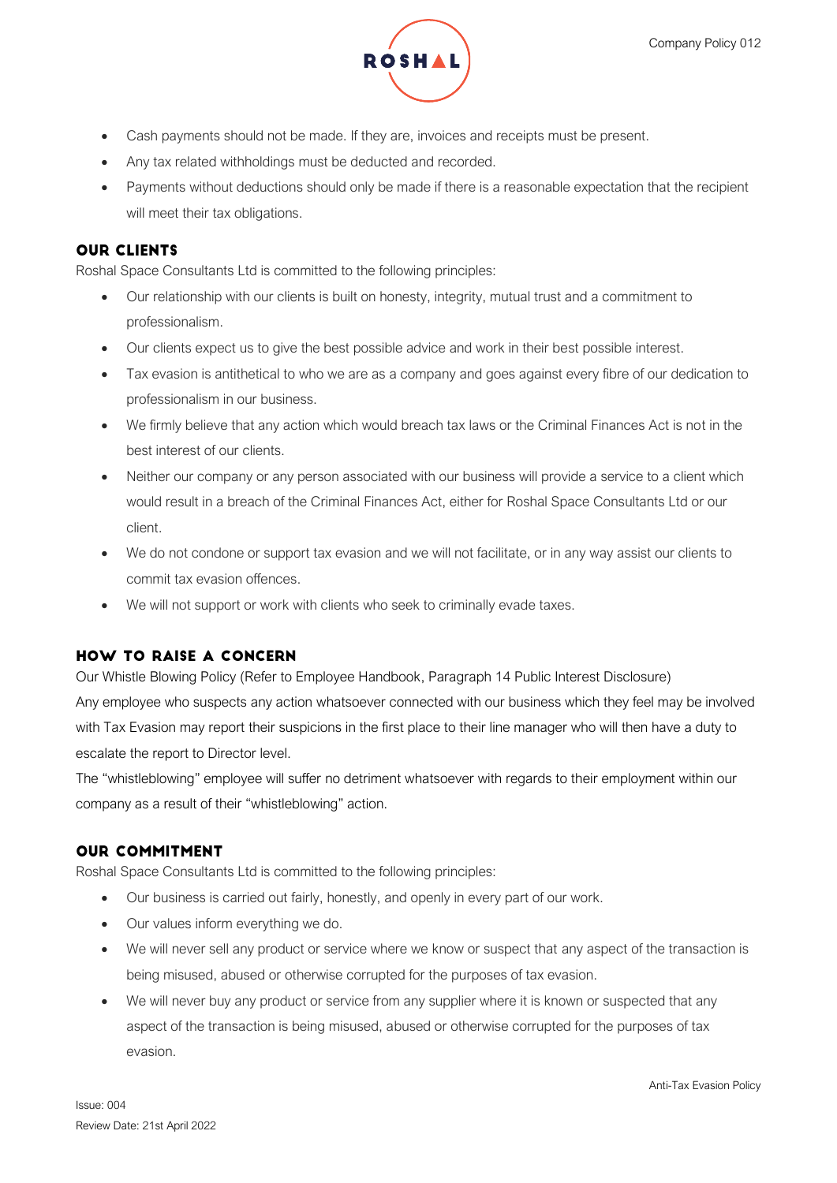

- Cash payments should not be made. If they are, invoices and receipts must be present.
- Any tax related withholdings must be deducted and recorded.
- Payments without deductions should only be made if there is a reasonable expectation that the recipient will meet their tax obligations.

## **OUR CLIENTS**

Roshal Space Consultants Ltd is committed to the following principles:

- Our relationship with our clients is built on honesty, integrity, mutual trust and a commitment to professionalism.
- Our clients expect us to give the best possible advice and work in their best possible interest.
- Tax evasion is antithetical to who we are as a company and goes against every fibre of our dedication to professionalism in our business.
- We firmly believe that any action which would breach tax laws or the Criminal Finances Act is not in the best interest of our clients.
- Neither our company or any person associated with our business will provide a service to a client which would result in a breach of the Criminal Finances Act, either for Roshal Space Consultants Ltd or our client.
- We do not condone or support tax evasion and we will not facilitate, or in any way assist our clients to commit tax evasion offences.
- We will not support or work with clients who seek to criminally evade taxes.

# **HOW TO RAISE A CONCERN**

Our Whistle Blowing Policy (Refer to Employee Handbook, Paragraph 14 Public Interest Disclosure) Any employee who suspects any action whatsoever connected with our business which they feel may be involved with Tax Evasion may report their suspicions in the first place to their line manager who will then have a duty to escalate the report to Director level.

The "whistleblowing" employee will suffer no detriment whatsoever with regards to their employment within our company as a result of their "whistleblowing" action.

## **OUR COMMITMENT**

Roshal Space Consultants Ltd is committed to the following principles:

- Our business is carried out fairly, honestly, and openly in every part of our work.
- Our values inform everything we do.
- We will never sell any product or service where we know or suspect that any aspect of the transaction is being misused, abused or otherwise corrupted for the purposes of tax evasion.
- We will never buy any product or service from any supplier where it is known or suspected that any aspect of the transaction is being misused, abused or otherwise corrupted for the purposes of tax evasion.